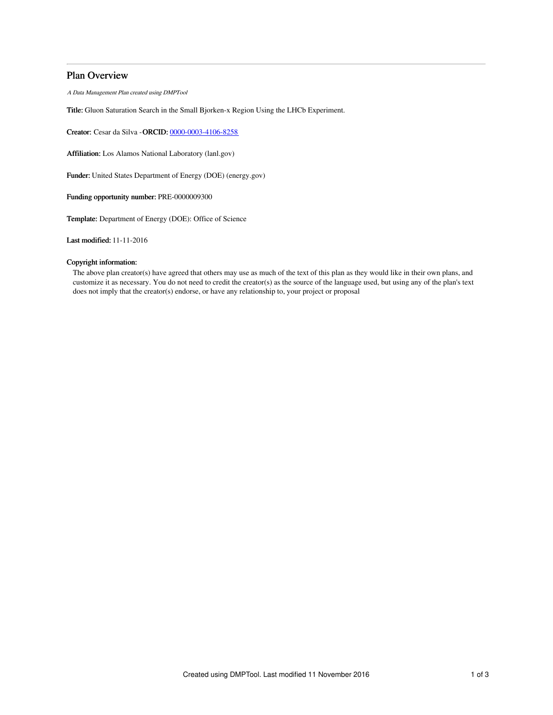# Plan Overview

A Data Management Plan created using DMPTool

Title: Gluon Saturation Search in the Small Bjorken-x Region Using the LHCb Experiment.

Creator: Cesar da Silva -ORCID: [0000-0003-4106-8258](https://orcid.org/0000-0003-4106-8258)

Affiliation: Los Alamos National Laboratory (lanl.gov)

Funder: United States Department of Energy (DOE) (energy.gov)

Funding opportunity number: PRE-0000009300

Template: Department of Energy (DOE): Office of Science

Last modified: 11-11-2016

## Copyright information:

The above plan creator(s) have agreed that others may use as much of the text of this plan as they would like in their own plans, and customize it as necessary. You do not need to credit the creator(s) as the source of the language used, but using any of the plan's text does not imply that the creator(s) endorse, or have any relationship to, your project or proposal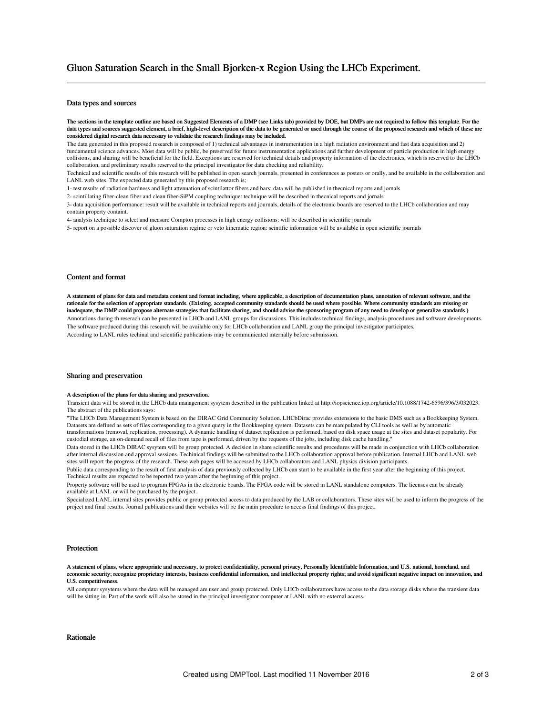### Data types and sources

The sections in the template outline are based on Suggested Elements of a DMP (see Links tab) provided by DOE, but DMPs are not required to follow this template. For the data types and sources suggested element, a brief, high-level description of the data to be generated or used through the course of the proposed research and which of these are considered digital research data necessary to validate the research findings may be included.

The data generated in this proposed research is composed of 1) technical advantages in instrumentation in a high radiation environment and fast data acquisition and 2) fundamental science advances. Most data will be public, be preserved for future instrumentation applications and further development of particle production in high energy collisions, and sharing will be beneficial for the field. Exceptions are reserved for technical details and property information of the electronics, which is reserved to the LHCb collaboration, and preliminary results reserved to the principal investigator for data checking and reliability.

Technical and scientific results of this research will be published in open search journals, presented in conferences as posters or orally, and be available in the collaboration and LANL web sites. The expected data generated by this proposed research is;

1- test results of radiation hardness and light attenuation of scintilattor fibers and bars: data will be published in thecnical reports and jornals

2- scintillating fiber-clean fiber and clean fiber-SiPM coupling technique: technique will be described in thecnical reports and jornals

3- data aqcuisition performance: result will be available in technical reports and journals, details of the electronic boards are reserved to the LHCb collaboration and may contain property containt.

4- analysis technique to select and measure Compton processes in high energy collisions: will be described in scientific journals

5- report on a possible discover of gluon saturation regime or veto kinematic region: scintific information will be available in open scientific journals

### Content and format

A statement of plans for data and metadata content and format including, where applicable, a description of documentation plans, annotation of relevant software, and the rationale for the selection of appropriate standards. (Existing, accepted community standards should be used where possible. Where community standards are missing or inadequate, the DMP could propose alternate strategies that facilitate sharing, and should advise the sponsoring program of any need to develop or generalize standards.) Annotations during th reserach can be presented in LHCb and LANL groups for discussions. This includes technical findings, analysis procedures and software developments. The software produced during this research will be available only for LHCb collaboration and LANL group the principal investigator participates. According to LANL rules techinal and scientific publications may be communicated internally before submission.

#### Sharing and preservation

#### A description of the plans for data sharing and preservation.

Transient data will be stored in the LHCb data management sysytem described in the publication linked at http://iopscience.iop.org/article/10.1088/1742-6596/396/3/032023. The abstract of the publications says:

"The LHCb Data Management System is based on the DIRAC Grid Community Solution. LHCbDirac provides extensions to the basic DMS such as a Bookkeeping System. Datasets are defined as sets of files corresponding to a given query in the Bookkeeping system. Datasets can be manipulated by CLI tools as well as by automatic transformations (removal, replication, processing). A dynamic handling of dataset replication is performed, based on disk space usage at the sites and dataset popularity. For custodial storage, an on-demand recall of files from tape is performed, driven by the requests of the jobs, including disk cache handling."

Data stored in the LHCb DIRAC sysytem will be group protected. A decision in share scientific results and procedures will be made in conjunction with LHCb collaboration after internal discussion and approval sessions. Techinical findings will be submitted to the LHCb collaboration approval before publication. Internal LHCb and LANL web sites will report the progress of the research. These web pages will be accessed by LHCb collaborators and LANL physics division participants.

Public data corresponding to the result of first analysis of data previously collected by LHCb can start to be available in the first year after the beginning of this project. Technical results are expected to be reported two years after the beginning of this project.

Property software will be used to program FPGAs in the electronic boards. The FPGA code will be stored in LANL standalone computers. The licenses can be already available at LANL or will be purchased by the project.

Specialized LANL internal sites provides public or group protected access to data produced by the LAB or collaborattors. These sites will be used to inform the progress of the project and final results. Journal publications and their websites will be the main procedure to access final findings of this project.

#### Protection

A statement of plans, where appropriate and necessary, to protect confidentiality, personal privacy, Personally Identifiable Information, and U.S. national, homeland, and economic security; recognize proprietary interests, business confidential information, and intellectual property rights; and avoid significant negative impact on innovation, and U.S. competitiveness.

All computer sysytems where the data will be managed are user and group protected. Only LHCb collaborattors have access to the data storage disks where the transient data will be sitting in. Part of the work will also be stored in the principal investigator computer at LANL with no external access.

#### Rationale